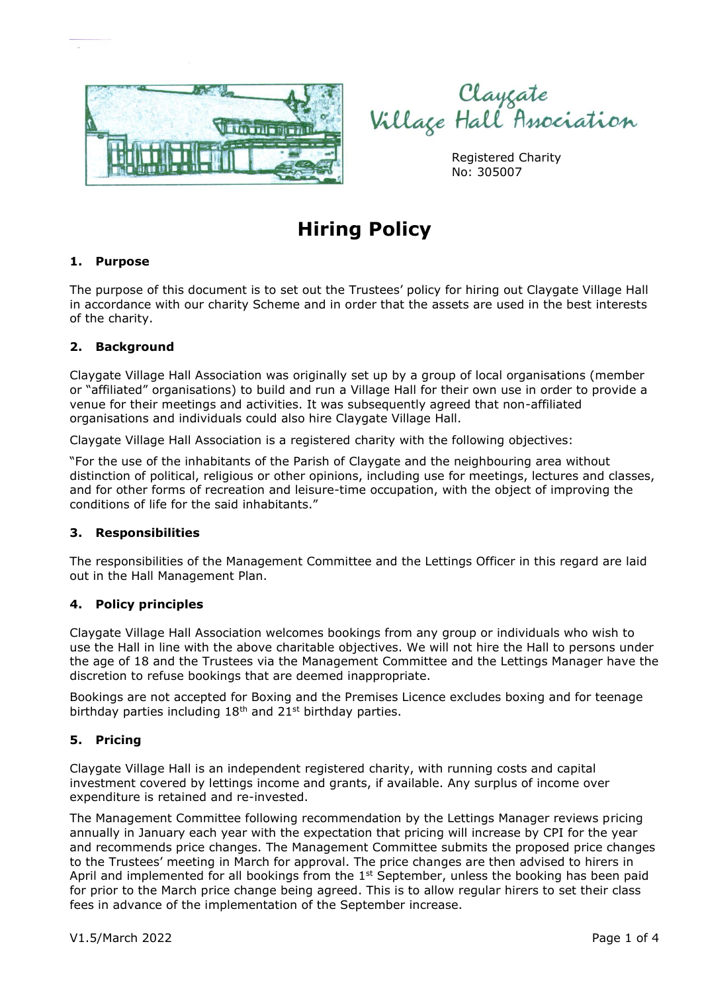

Clayçate<br>Village Hall Association

Registered Charity No: 305007

# **Hiring Policy**

# **1. Purpose**

The purpose of this document is to set out the Trustees' policy for hiring out Claygate Village Hall in accordance with our charity Scheme and in order that the assets are used in the best interests of the charity.

## **2. Background**

Claygate Village Hall Association was originally set up by a group of local organisations (member or "affiliated" organisations) to build and run a Village Hall for their own use in order to provide a venue for their meetings and activities. It was subsequently agreed that non-affiliated organisations and individuals could also hire Claygate Village Hall.

Claygate Village Hall Association is a registered charity with the following objectives:

"For the use of the inhabitants of the Parish of Claygate and the neighbouring area without distinction of political, religious or other opinions, including use for meetings, lectures and classes, and for other forms of recreation and leisure-time occupation, with the object of improving the conditions of life for the said inhabitants."

#### **3. Responsibilities**

The responsibilities of the Management Committee and the Lettings Officer in this regard are laid out in the Hall Management Plan.

#### **4. Policy principles**

Claygate Village Hall Association welcomes bookings from any group or individuals who wish to use the Hall in line with the above charitable objectives. We will not hire the Hall to persons under the age of 18 and the Trustees via the Management Committee and the Lettings Manager have the discretion to refuse bookings that are deemed inappropriate.

Bookings are not accepted for Boxing and the Premises Licence excludes boxing and for teenage birthday parties including  $18<sup>th</sup>$  and  $21<sup>st</sup>$  birthday parties.

#### **5. Pricing**

Claygate Village Hall is an independent registered charity, with running costs and capital investment covered by lettings income and grants, if available. Any surplus of income over expenditure is retained and re-invested.

The Management Committee following recommendation by the Lettings Manager reviews pricing annually in January each year with the expectation that pricing will increase by CPI for the year and recommends price changes. The Management Committee submits the proposed price changes to the Trustees' meeting in March for approval. The price changes are then advised to hirers in April and implemented for all bookings from the  $1<sup>st</sup>$  September, unless the booking has been paid for prior to the March price change being agreed. This is to allow regular hirers to set their class fees in advance of the implementation of the September increase.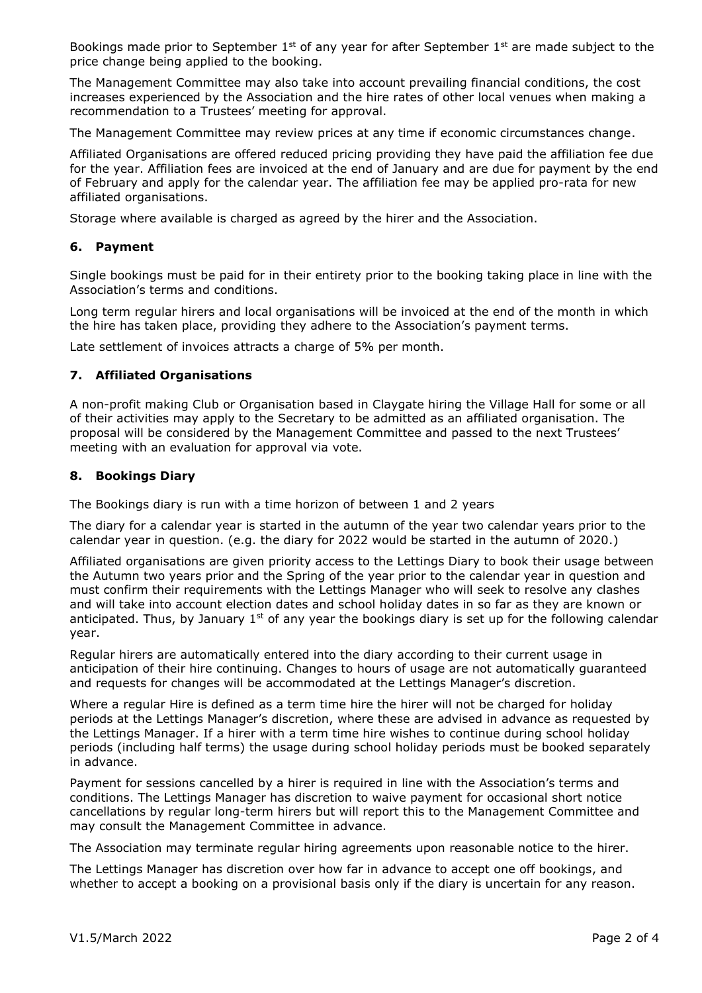Bookings made prior to September  $1^{st}$  of any year for after September  $1^{st}$  are made subject to the price change being applied to the booking.

The Management Committee may also take into account prevailing financial conditions, the cost increases experienced by the Association and the hire rates of other local venues when making a recommendation to a Trustees' meeting for approval.

The Management Committee may review prices at any time if economic circumstances change.

Affiliated Organisations are offered reduced pricing providing they have paid the affiliation fee due for the year. Affiliation fees are invoiced at the end of January and are due for payment by the end of February and apply for the calendar year. The affiliation fee may be applied pro-rata for new affiliated organisations.

Storage where available is charged as agreed by the hirer and the Association.

## **6. Payment**

Single bookings must be paid for in their entirety prior to the booking taking place in line with the Association's terms and conditions.

Long term regular hirers and local organisations will be invoiced at the end of the month in which the hire has taken place, providing they adhere to the Association's payment terms.

Late settlement of invoices attracts a charge of 5% per month.

## **7. Affiliated Organisations**

A non-profit making Club or Organisation based in Claygate hiring the Village Hall for some or all of their activities may apply to the Secretary to be admitted as an affiliated organisation. The proposal will be considered by the Management Committee and passed to the next Trustees' meeting with an evaluation for approval via vote.

## **8. Bookings Diary**

The Bookings diary is run with a time horizon of between 1 and 2 years

The diary for a calendar year is started in the autumn of the year two calendar years prior to the calendar year in question. (e.g. the diary for 2022 would be started in the autumn of 2020.)

Affiliated organisations are given priority access to the Lettings Diary to book their usage between the Autumn two years prior and the Spring of the year prior to the calendar year in question and must confirm their requirements with the Lettings Manager who will seek to resolve any clashes and will take into account election dates and school holiday dates in so far as they are known or anticipated. Thus, by January  $1<sup>st</sup>$  of any year the bookings diary is set up for the following calendar year.

Regular hirers are automatically entered into the diary according to their current usage in anticipation of their hire continuing. Changes to hours of usage are not automatically guaranteed and requests for changes will be accommodated at the Lettings Manager's discretion.

Where a regular Hire is defined as a term time hire the hirer will not be charged for holiday periods at the Lettings Manager's discretion, where these are advised in advance as requested by the Lettings Manager. If a hirer with a term time hire wishes to continue during school holiday periods (including half terms) the usage during school holiday periods must be booked separately in advance.

Payment for sessions cancelled by a hirer is required in line with the Association's terms and conditions. The Lettings Manager has discretion to waive payment for occasional short notice cancellations by regular long-term hirers but will report this to the Management Committee and may consult the Management Committee in advance.

The Association may terminate regular hiring agreements upon reasonable notice to the hirer.

The Lettings Manager has discretion over how far in advance to accept one off bookings, and whether to accept a booking on a provisional basis only if the diary is uncertain for any reason.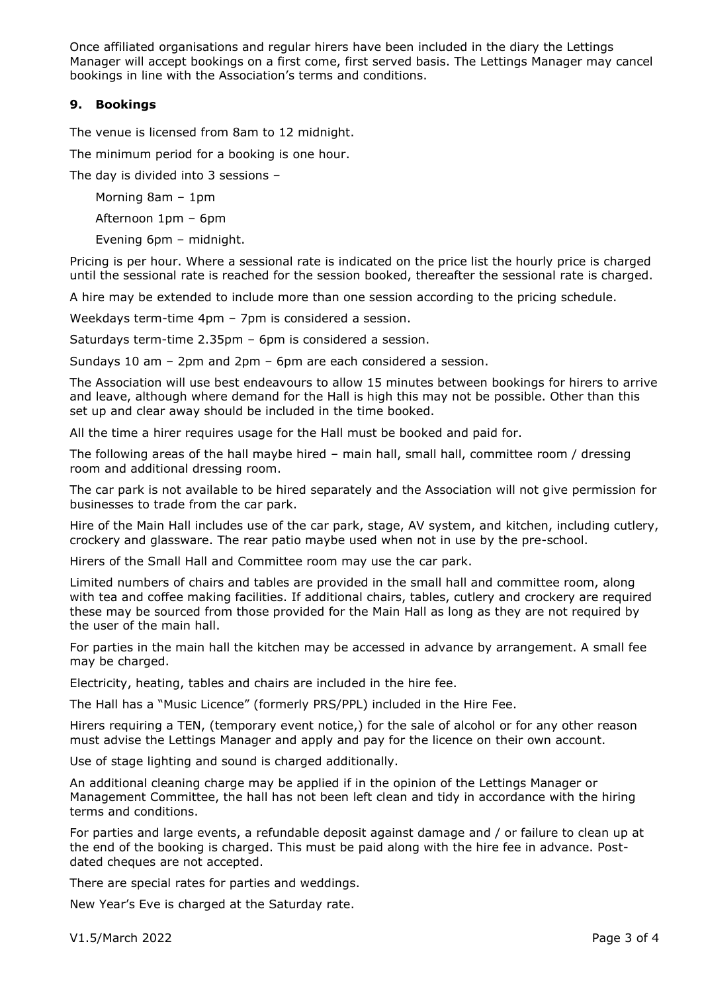Once affiliated organisations and regular hirers have been included in the diary the Lettings Manager will accept bookings on a first come, first served basis. The Lettings Manager may cancel bookings in line with the Association's terms and conditions.

## **9. Bookings**

The venue is licensed from 8am to 12 midnight.

The minimum period for a booking is one hour.

The day is divided into 3 sessions –

Morning 8am – 1pm

Afternoon 1pm – 6pm

Evening 6pm – midnight.

Pricing is per hour. Where a sessional rate is indicated on the price list the hourly price is charged until the sessional rate is reached for the session booked, thereafter the sessional rate is charged.

A hire may be extended to include more than one session according to the pricing schedule.

Weekdays term-time 4pm – 7pm is considered a session.

Saturdays term-time 2.35pm – 6pm is considered a session.

Sundays 10 am – 2pm and 2pm – 6pm are each considered a session.

The Association will use best endeavours to allow 15 minutes between bookings for hirers to arrive and leave, although where demand for the Hall is high this may not be possible. Other than this set up and clear away should be included in the time booked.

All the time a hirer requires usage for the Hall must be booked and paid for.

The following areas of the hall maybe hired – main hall, small hall, committee room / dressing room and additional dressing room.

The car park is not available to be hired separately and the Association will not give permission for businesses to trade from the car park.

Hire of the Main Hall includes use of the car park, stage, AV system, and kitchen, including cutlery, crockery and glassware. The rear patio maybe used when not in use by the pre-school.

Hirers of the Small Hall and Committee room may use the car park.

Limited numbers of chairs and tables are provided in the small hall and committee room, along with tea and coffee making facilities. If additional chairs, tables, cutlery and crockery are required these may be sourced from those provided for the Main Hall as long as they are not required by the user of the main hall.

For parties in the main hall the kitchen may be accessed in advance by arrangement. A small fee may be charged.

Electricity, heating, tables and chairs are included in the hire fee.

The Hall has a "Music Licence" (formerly PRS/PPL) included in the Hire Fee.

Hirers requiring a TEN, (temporary event notice,) for the sale of alcohol or for any other reason must advise the Lettings Manager and apply and pay for the licence on their own account.

Use of stage lighting and sound is charged additionally.

An additional cleaning charge may be applied if in the opinion of the Lettings Manager or Management Committee, the hall has not been left clean and tidy in accordance with the hiring terms and conditions.

For parties and large events, a refundable deposit against damage and / or failure to clean up at the end of the booking is charged. This must be paid along with the hire fee in advance. Postdated cheques are not accepted.

There are special rates for parties and weddings.

New Year's Eve is charged at the Saturday rate.